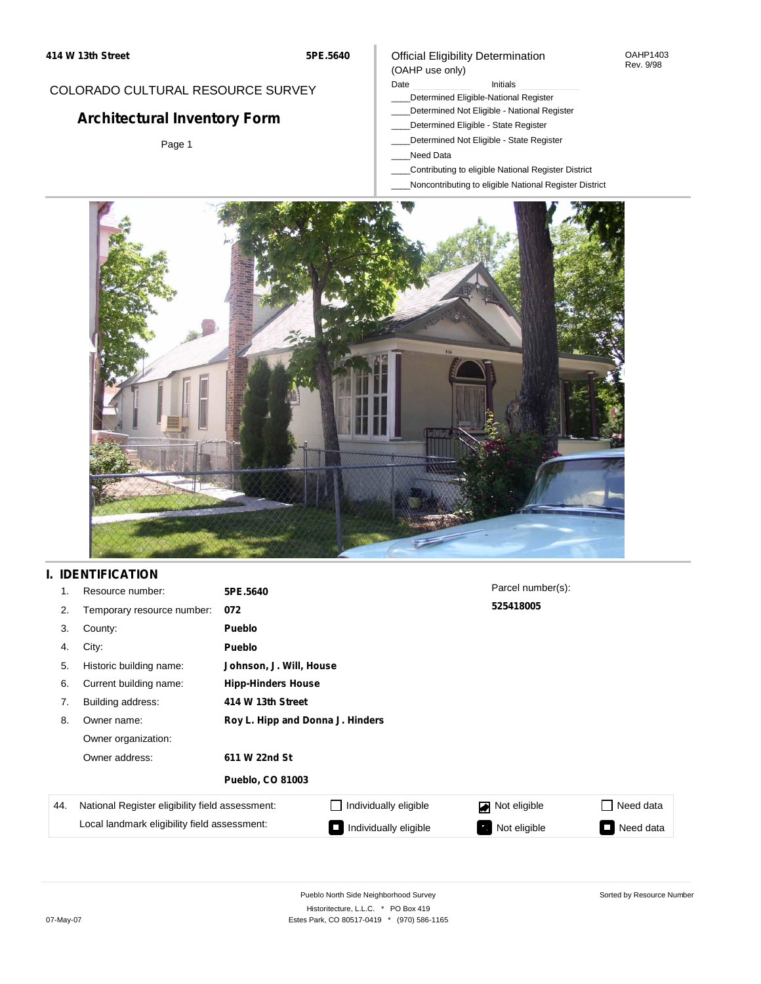## COLORADO CULTURAL RESOURCE SURVEY

# **Architectural Inventory Form**

Page 1

### Official Eligibility Determination (OAHP use only)

#### Date **Initials** Initials

- \_\_\_\_Determined Eligible-National Register
- \_\_\_\_Determined Not Eligible National Register
- \_\_\_\_Determined Eligible State Register
- \_\_\_\_Determined Not Eligible State Register
- \_\_\_\_Need Data
- \_\_\_\_Contributing to eligible National Register District
- \_\_\_\_Noncontributing to eligible National Register District



# **I. IDENTIFICATION**

| 1.  | Resource number:                                                                                | 5PE.5640                         |                                         | Parcel number(s): |                                       |  |  |  |
|-----|-------------------------------------------------------------------------------------------------|----------------------------------|-----------------------------------------|-------------------|---------------------------------------|--|--|--|
| 2.  | Temporary resource number:                                                                      | 072                              |                                         | 525418005         |                                       |  |  |  |
| 3.  | County:                                                                                         | <b>Pueblo</b>                    |                                         |                   |                                       |  |  |  |
| 4.  | City:                                                                                           | <b>Pueblo</b>                    |                                         |                   |                                       |  |  |  |
| 5.  | Historic building name:                                                                         |                                  | Johnson, J. Will, House                 |                   |                                       |  |  |  |
| 6.  | Current building name:                                                                          | <b>Hipp-Hinders House</b>        |                                         |                   |                                       |  |  |  |
| 7.  | Building address:                                                                               | 414 W 13th Street                |                                         |                   |                                       |  |  |  |
| 8.  | Owner name:                                                                                     | Roy L. Hipp and Donna J. Hinders |                                         |                   |                                       |  |  |  |
|     | Owner organization:                                                                             |                                  |                                         |                   |                                       |  |  |  |
|     | Owner address:                                                                                  | 611 W 22nd St                    |                                         |                   |                                       |  |  |  |
|     |                                                                                                 | <b>Pueblo, CO 81003</b>          |                                         |                   |                                       |  |  |  |
| 44. | National Register eligibility field assessment:<br>Local landmark eligibility field assessment: |                                  | Individually eligible                   | Not eligible      | Need data<br>$\sim$                   |  |  |  |
|     |                                                                                                 |                                  | Individually eligible<br>$\blacksquare$ | Not eligible      | Need data<br>$\overline{\phantom{0}}$ |  |  |  |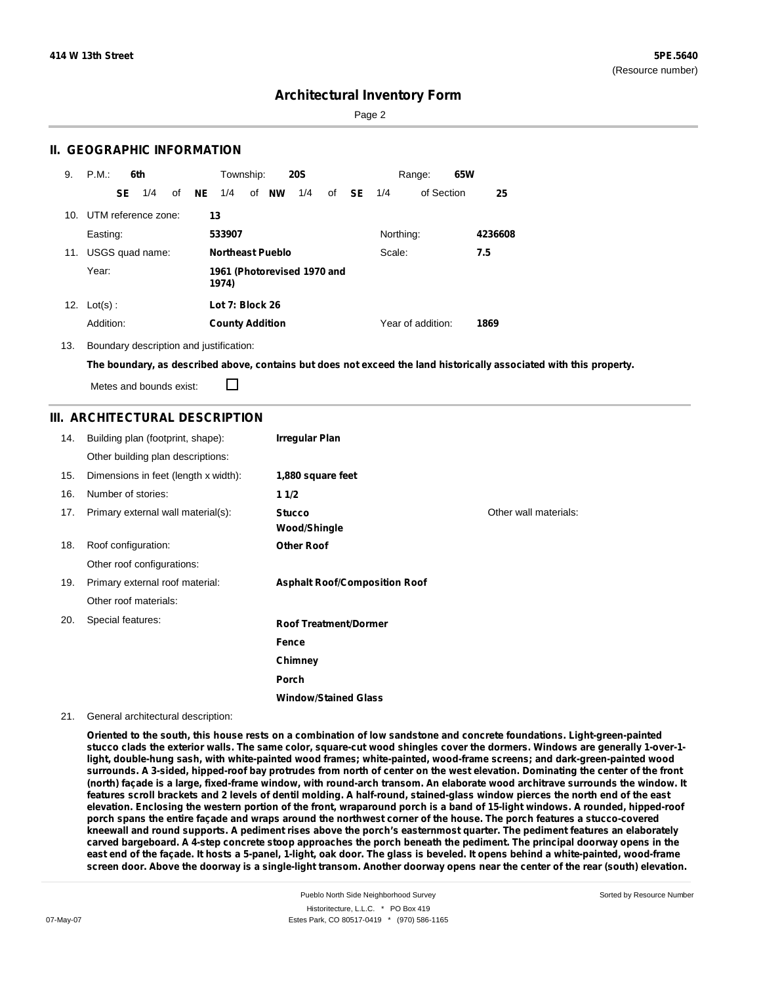Page 2

## **II. GEOGRAPHIC INFORMATION**

| 9.  | P.M.       |    | 6th                 |    |      | Township:              |                         | <b>20S</b>                  |    |           |           | Range:            | 65W |         |
|-----|------------|----|---------------------|----|------|------------------------|-------------------------|-----------------------------|----|-----------|-----------|-------------------|-----|---------|
|     |            | SE | 1/4                 | of | NE . | 1/4                    | of NW                   | 1/4                         | of | <b>SE</b> | 1/4       | of Section        |     | 25      |
| 10. |            |    | UTM reference zone: |    | 13   |                        |                         |                             |    |           |           |                   |     |         |
|     | Easting:   |    |                     |    |      | 533907                 |                         |                             |    |           | Northing: |                   |     | 4236608 |
| 11. |            |    | USGS quad name:     |    |      |                        | <b>Northeast Pueblo</b> |                             |    |           | Scale:    |                   |     | 7.5     |
|     | Year:      |    |                     |    |      | 1974)                  |                         | 1961 (Photorevised 1970 and |    |           |           |                   |     |         |
| 12. | $Lot(s)$ : |    |                     |    |      | Lot 7: Block 26        |                         |                             |    |           |           |                   |     |         |
|     | Addition:  |    |                     |    |      | <b>County Addition</b> |                         |                             |    |           |           | Year of addition: |     | 1869    |

13. Boundary description and justification:

The boundary, as described above, contains but does not exceed the land historically associated with this property.

Metes and bounds exist:

П

## **III. ARCHITECTURAL DESCRIPTION**

| 14. | Building plan (footprint, shape):    | <b>Irregular Plan</b>                |                       |
|-----|--------------------------------------|--------------------------------------|-----------------------|
|     | Other building plan descriptions:    |                                      |                       |
| 15. | Dimensions in feet (length x width): | 1,880 square feet                    |                       |
| 16. | Number of stories:                   | 11/2                                 |                       |
| 17. | Primary external wall material(s):   | <b>Stucco</b><br><b>Wood/Shingle</b> | Other wall materials: |
| 18. | Roof configuration:                  | <b>Other Roof</b>                    |                       |
|     | Other roof configurations:           |                                      |                       |
| 19. | Primary external roof material:      | <b>Asphalt Roof/Composition Roof</b> |                       |
|     | Other roof materials:                |                                      |                       |
| 20. | Special features:                    | <b>Roof Treatment/Dormer</b>         |                       |
|     |                                      | Fence                                |                       |
|     |                                      | Chimney                              |                       |
|     |                                      | <b>Porch</b>                         |                       |
|     |                                      | <b>Window/Stained Glass</b>          |                       |

#### 21. General architectural description:

Oriented to the south, this house rests on a combination of low sandstone and concrete foundations. Light-green-painted stucco clads the exterior walls. The same color, square-cut wood shingles cover the dormers. Windows are generally 1-over-1**light, double-hung sash, with white-painted wood frames; white-painted, wood-frame screens; and dark-green-painted wood** surrounds. A 3-sided, hipped-roof bay protrudes from north of center on the west elevation. Dominating the center of the front (north) façade is a large, fixed-frame window, with round-arch transom. An elaborate wood architrave surrounds the window. It features scroll brackets and 2 levels of dentil molding. A half-round, stained-glass window pierces the north end of the east elevation. Enclosing the western portion of the front, wraparound porch is a band of 15-light windows. A rounded, hipped-roof porch spans the entire façade and wraps around the northwest corner of the house. The porch features a stucco-covered kneewall and round supports. A pediment rises above the porch's easternmost quarter. The pediment features an elaborately carved bargeboard. A 4-step concrete stoop approaches the porch beneath the pediment. The principal doorway opens in the east end of the façade. It hosts a 5-panel, 1-light, oak door. The glass is beveled. It opens behind a white-painted, wood-frame screen door. Above the doorway is a single-light transom. Another doorway opens near the center of the rear (south) elevation.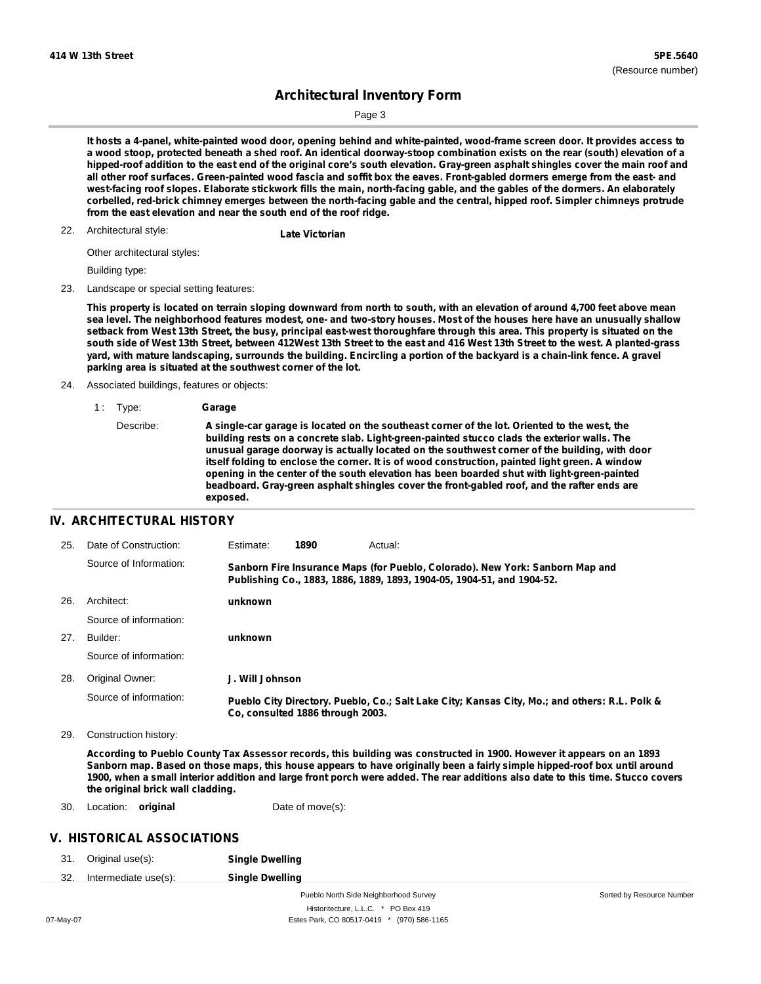Page 3

It hosts a 4-panel, white-painted wood door, opening behind and white-painted, wood-frame screen door. It provides access to a wood stoop, protected beneath a shed roof. An identical doorway-stoop combination exists on the rear (south) elevation of a hipped-roof addition to the east end of the original core's south elevation. Gray-green asphalt shingles cover the main roof and all other roof surfaces. Green-painted wood fascia and soffit box the eaves. Front-gabled dormers emerge from the east- and west-facing roof slopes. Elaborate stickwork fills the main, north-facing gable, and the gables of the dormers. An elaborately corbelled, red-brick chimney emerges between the north-facing gable and the central, hipped roof. Simpler chimneys protrude **from the east elevation and near the south end of the roof ridge.**

Architectural style: 22. **Late Victorian**

Other architectural styles:

Building type:

23. Landscape or special setting features:

This property is located on terrain sloping downward from north to south, with an elevation of around 4,700 feet above mean sea level. The neighborhood features modest, one- and two-story houses. Most of the houses here have an unusually shallow setback from West 13th Street, the busy, principal east-west thoroughfare through this area. This property is situated on the south side of West 13th Street, between 412West 13th Street to the east and 416 West 13th Street to the west. A planted-grass yard, with mature landscaping, surrounds the building. Encircling a portion of the backyard is a chain-link fence. A gravel **parking area is situated at the southwest corner of the lot.**

24. Associated buildings, features or objects:

1 : Type: **Garage** Describe: **A single-car garage is located on the southeast corner of the lot. Oriented to the west, the building rests on a concrete slab. Light-green-painted stucco clads the exterior walls. The unusual garage doorway is actually located on the southwest corner of the building, with door itself folding to enclose the corner. It is of wood construction, painted light green. A window opening in the center of the south elevation has been boarded shut with light-green-painted beadboard. Gray-green asphalt shingles cover the front-gabled roof, and the rafter ends are exposed.**

#### **IV. ARCHITECTURAL HISTORY**

| 25. | Date of Construction:  | Estimate:       | 1890                             | Actual:                                                                                                                                                 |
|-----|------------------------|-----------------|----------------------------------|---------------------------------------------------------------------------------------------------------------------------------------------------------|
|     | Source of Information: |                 |                                  | Sanborn Fire Insurance Maps (for Pueblo, Colorado). New York: Sanborn Map and<br>Publishing Co., 1883, 1886, 1889, 1893, 1904-05, 1904-51, and 1904-52. |
| 26. | Architect:             | unknown         |                                  |                                                                                                                                                         |
|     | Source of information: |                 |                                  |                                                                                                                                                         |
| 27. | Builder:               | unknown         |                                  |                                                                                                                                                         |
|     | Source of information: |                 |                                  |                                                                                                                                                         |
| 28. | Original Owner:        | J. Will Johnson |                                  |                                                                                                                                                         |
|     | Source of information: |                 | Co. consulted 1886 through 2003. | Pueblo City Directory. Pueblo, Co.; Salt Lake City; Kansas City, Mo.; and others: R.L. Polk &                                                           |

29. Construction history:

According to Pueblo County Tax Assessor records, this building was constructed in 1900. However it appears on an 1893 Sanborn map. Based on those maps, this house appears to have originally been a fairly simple hipped-roof box until around 1900, when a small interior addition and large front porch were added. The rear additions also date to this time. Stucco covers **the original brick wall cladding.**

30. Location: **original** Date of move(s):

#### **V. HISTORICAL ASSOCIATIONS**

31. Original use(s): **Single Dwelling**

32. Intermediate use(s): **Single Dwelling**

Pueblo North Side Neighborhood Survey Historitecture, L.L.C. \* PO Box 419 07-May-07 Estes Park, CO 80517-0419 \* (970) 586-1165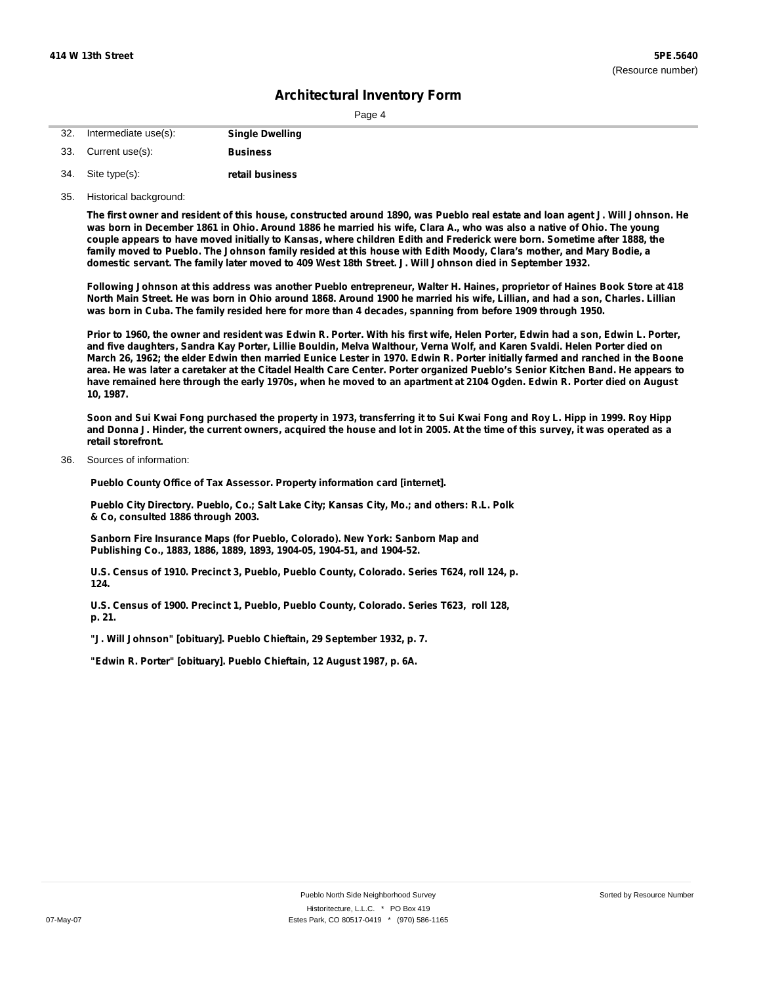| г. |  |
|----|--|
|    |  |

| 32. | Intermediate use(s): | <b>Single Dwelling</b> |
|-----|----------------------|------------------------|
|     | 33. Current use(s):  | <b>Business</b>        |
|     | 34. Site type(s):    | retail business        |

35. Historical background:

The first owner and resident of this house, constructed around 1890, was Pueblo real estate and loan agent J. Will Johnson. He was born in December 1861 in Ohio. Around 1886 he married his wife, Clara A., who was also a native of Ohio. The young couple appears to have moved initially to Kansas, where children Edith and Frederick were born. Sometime after 1888, the family moved to Pueblo. The Johnson family resided at this house with Edith Moody, Clara's mother, and Mary Bodie, a domestic servant. The family later moved to 409 West 18th Street. J. Will Johnson died in September 1932.

Following Johnson at this address was another Pueblo entrepreneur, Walter H. Haines, proprietor of Haines Book Store at 418 North Main Street. He was born in Ohio around 1868. Around 1900 he married his wife, Lillian, and had a son, Charles. Lillian was born in Cuba. The family resided here for more than 4 decades, spanning from before 1909 through 1950.

Prior to 1960, the owner and resident was Edwin R. Porter. With his first wife, Helen Porter, Edwin had a son, Edwin L. Porter, and five daughters, Sandra Kay Porter, Lillie Bouldin, Melva Walthour, Verna Wolf, and Karen Svaldi. Helen Porter died on March 26, 1962; the elder Edwin then married Eunice Lester in 1970. Edwin R. Porter initially farmed and ranched in the Boone area. He was later a caretaker at the Citadel Health Care Center. Porter organized Pueblo's Senior Kitchen Band. He appears to have remained here through the early 1970s, when he moved to an apartment at 2104 Ogden. Edwin R. Porter died on August **10, 1987.**

Soon and Sui Kwai Fong purchased the property in 1973, transferring it to Sui Kwai Fong and Roy L. Hipp in 1999. Roy Hipp and Donna J. Hinder, the current owners, acquired the house and lot in 2005. At the time of this survey, it was operated as a **retail storefront.**

Sources of information: 36.

**Pueblo County Office of Tax Assessor. Property information card [internet].**

**Pueblo City Directory. Pueblo, Co.; Salt Lake City; Kansas City, Mo.; and others: R.L. Polk & Co, consulted 1886 through 2003.**

**Sanborn Fire Insurance Maps (for Pueblo, Colorado). New York: Sanborn Map and Publishing Co., 1883, 1886, 1889, 1893, 1904-05, 1904-51, and 1904-52.**

**U.S. Census of 1910. Precinct 3, Pueblo, Pueblo County, Colorado. Series T624, roll 124, p. 124.**

**U.S. Census of 1900. Precinct 1, Pueblo, Pueblo County, Colorado. Series T623, roll 128, p. 21.**

**"J. Will Johnson" [obituary]. Pueblo Chieftain, 29 September 1932, p. 7.**

**"Edwin R. Porter" [obituary]. Pueblo Chieftain, 12 August 1987, p. 6A.**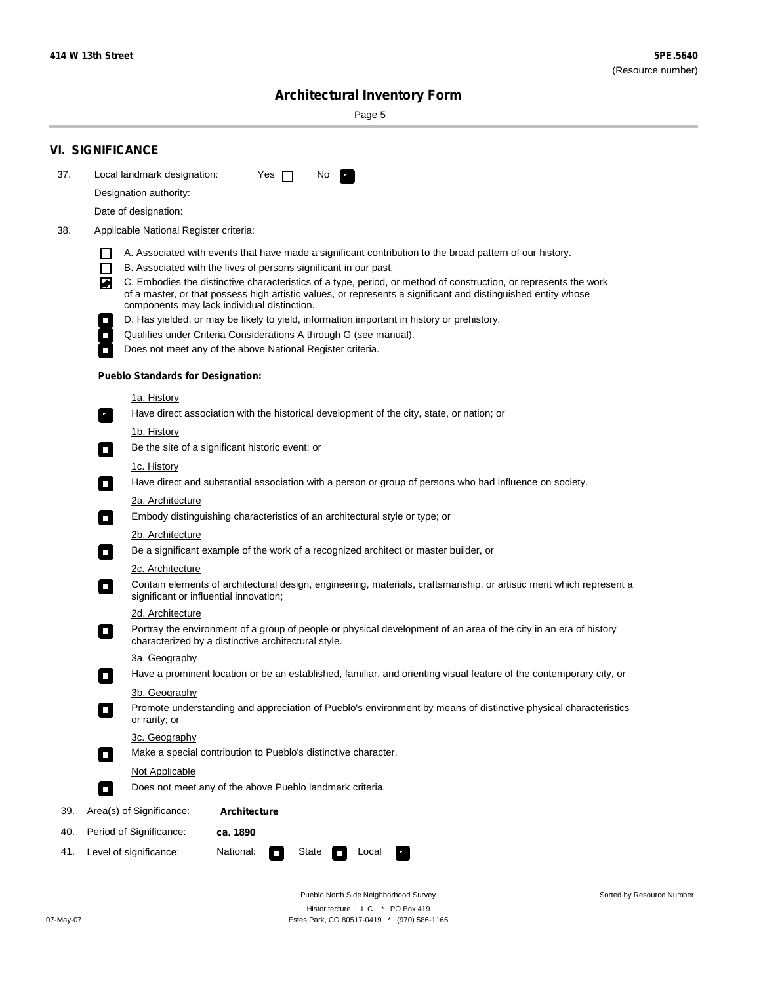۰

Sorted by Resource Number

# **Architectural Inventory Form**

Page 5

|     | <b>VI. SIGNIFICANCE</b>                                                                                                                                                                                                                                                                                                                                             |
|-----|---------------------------------------------------------------------------------------------------------------------------------------------------------------------------------------------------------------------------------------------------------------------------------------------------------------------------------------------------------------------|
| 37. | Local landmark designation:<br>Yes $\Box$<br>No.<br>LE.                                                                                                                                                                                                                                                                                                             |
|     | Designation authority:                                                                                                                                                                                                                                                                                                                                              |
|     | Date of designation:                                                                                                                                                                                                                                                                                                                                                |
| 38. | Applicable National Register criteria:                                                                                                                                                                                                                                                                                                                              |
|     | A. Associated with events that have made a significant contribution to the broad pattern of our history.<br>H                                                                                                                                                                                                                                                       |
|     | B. Associated with the lives of persons significant in our past.<br>$\Box$<br>C. Embodies the distinctive characteristics of a type, period, or method of construction, or represents the work<br>丙<br>of a master, or that possess high artistic values, or represents a significant and distinguished entity whose<br>components may lack individual distinction. |
|     | D. Has yielded, or may be likely to yield, information important in history or prehistory.                                                                                                                                                                                                                                                                          |
|     | Qualifies under Criteria Considerations A through G (see manual).                                                                                                                                                                                                                                                                                                   |
|     | Does not meet any of the above National Register criteria.                                                                                                                                                                                                                                                                                                          |
|     | <b>Pueblo Standards for Designation:</b>                                                                                                                                                                                                                                                                                                                            |
|     | 1a. History<br>Have direct association with the historical development of the city, state, or nation; or<br>$\mathbf{r}_1$                                                                                                                                                                                                                                          |
|     | 1b. History<br>Be the site of a significant historic event; or<br>$\mathcal{L}_{\mathcal{A}}$                                                                                                                                                                                                                                                                       |
|     | 1c. History<br>Have direct and substantial association with a person or group of persons who had influence on society.<br>$\overline{\phantom{a}}$                                                                                                                                                                                                                  |
|     | 2a. Architecture                                                                                                                                                                                                                                                                                                                                                    |
|     | Embody distinguishing characteristics of an architectural style or type; or<br>$\overline{\phantom{a}}$                                                                                                                                                                                                                                                             |
|     | <u>2b. Architecture</u>                                                                                                                                                                                                                                                                                                                                             |
|     | Be a significant example of the work of a recognized architect or master builder, or<br>$\overline{\phantom{a}}$                                                                                                                                                                                                                                                    |
|     | <b>2c. Architecture</b>                                                                                                                                                                                                                                                                                                                                             |
|     | Contain elements of architectural design, engineering, materials, craftsmanship, or artistic merit which represent a<br>О<br>significant or influential innovation;                                                                                                                                                                                                 |
|     | <u>2d. Architecture</u>                                                                                                                                                                                                                                                                                                                                             |
|     | Portray the environment of a group of people or physical development of an area of the city in an era of history<br>О<br>characterized by a distinctive architectural style.                                                                                                                                                                                        |
|     | 3a. Geography                                                                                                                                                                                                                                                                                                                                                       |
|     | Have a prominent location or be an established, familiar, and orienting visual feature of the contemporary city, or                                                                                                                                                                                                                                                 |
|     | 3b. Geography<br>Promote understanding and appreciation of Pueblo's environment by means of distinctive physical characteristics<br>or rarity; or                                                                                                                                                                                                                   |
|     | 3c. Geography                                                                                                                                                                                                                                                                                                                                                       |
|     | Make a special contribution to Pueblo's distinctive character.<br>$\Box$                                                                                                                                                                                                                                                                                            |
|     | Not Applicable                                                                                                                                                                                                                                                                                                                                                      |
|     | Does not meet any of the above Pueblo landmark criteria.<br>П                                                                                                                                                                                                                                                                                                       |
| 39. | Area(s) of Significance:<br><b>Architecture</b>                                                                                                                                                                                                                                                                                                                     |
| 40. | Period of Significance:<br>ca. 1890                                                                                                                                                                                                                                                                                                                                 |
| 41. | Level of significance:<br>National:<br>Local<br>State<br>$\Box$                                                                                                                                                                                                                                                                                                     |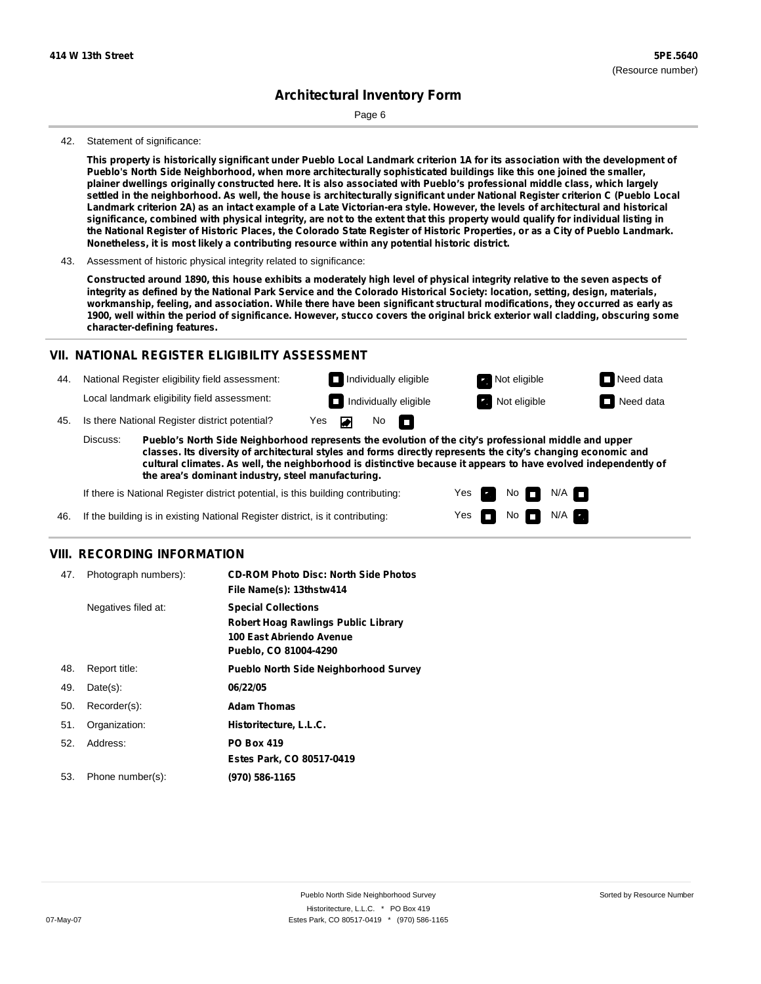Page 6

#### 42. Statement of significance:

This property is historically significant under Pueblo Local Landmark criterion 1A for its association with the development of **Pueblo's North Side Neighborhood, when more architecturally sophisticated buildings like this one joined the smaller,** plainer dwellings originally constructed here. It is also associated with Pueblo's professional middle class, which largely settled in the neighborhood. As well, the house is architecturally significant under National Register criterion C (Pueblo Local Landmark criterion 2A) as an intact example of a Late Victorian-era style. However, the levels of architectural and historical significance, combined with physical integrity, are not to the extent that this property would qualify for individual listing in the National Register of Historic Places, the Colorado State Register of Historic Properties, or as a City of Pueblo Landmark. **Nonetheless, it is most likely a contributing resource within any potential historic district.**

Constructed around 1890, this house exhibits a moderately high level of physical integrity relative to the seven aspects of integrity as defined by the National Park Service and the Colorado Historical Society: location, setting, design, materials, workmanship, feeling, and association. While there have been significant structural modifications, they occurred as early as 1900, well within the period of significance. However, stucco covers the original brick exterior wall cladding, obscuring some **character-defining features.**

### **VII. NATIONAL REGISTER ELIGIBILITY ASSESSMENT**

44. National Register eligibility field assessment: Local landmark eligibility field assessment:

**Individually eligible Not eligible** Not eligible **Need data** 45. Is there National Register district potential? Yes ▰

**Pueblo's North Side Neighborhood represents the evolution of the city's professional middle and upper classes. Its diversity of architectural styles and forms directly represents the city's changing economic and cultural climates. As well, the neighborhood is distinctive because it appears to have evolved independently of the area's dominant industry, steel manufacturing.** Discuss:

No

IT.

Yes Yes No

**Individually eligible Not eligible** Not eligible **Need data** 

 $No$   $\neg$   $N/A$ 

 $N/A$ 

If there is National Register district potential, is this building contributing:

If the building is in existing National Register district, is it contributing: 46.

## **VIII. RECORDING INFORMATION**

| 47. | Photograph numbers): | <b>CD-ROM Photo Disc: North Side Photos</b><br>File Name(s): 13thstw414                                                       |
|-----|----------------------|-------------------------------------------------------------------------------------------------------------------------------|
|     | Negatives filed at:  | <b>Special Collections</b><br><b>Robert Hoag Rawlings Public Library</b><br>100 East Abriendo Avenue<br>Pueblo, CO 81004-4290 |
| 48. | Report title:        | <b>Pueblo North Side Neighborhood Survey</b>                                                                                  |
| 49. | $Date(s)$ :          | 06/22/05                                                                                                                      |
| 50. | Recorder(s):         | <b>Adam Thomas</b>                                                                                                            |
| 51. | Organization:        | Historitecture, L.L.C.                                                                                                        |
| 52. | Address:             | <b>PO Box 419</b>                                                                                                             |
|     |                      | Estes Park, CO 80517-0419                                                                                                     |
| 53. | Phone number(s):     | (970) 586-1165                                                                                                                |

<sup>43.</sup> Assessment of historic physical integrity related to significance: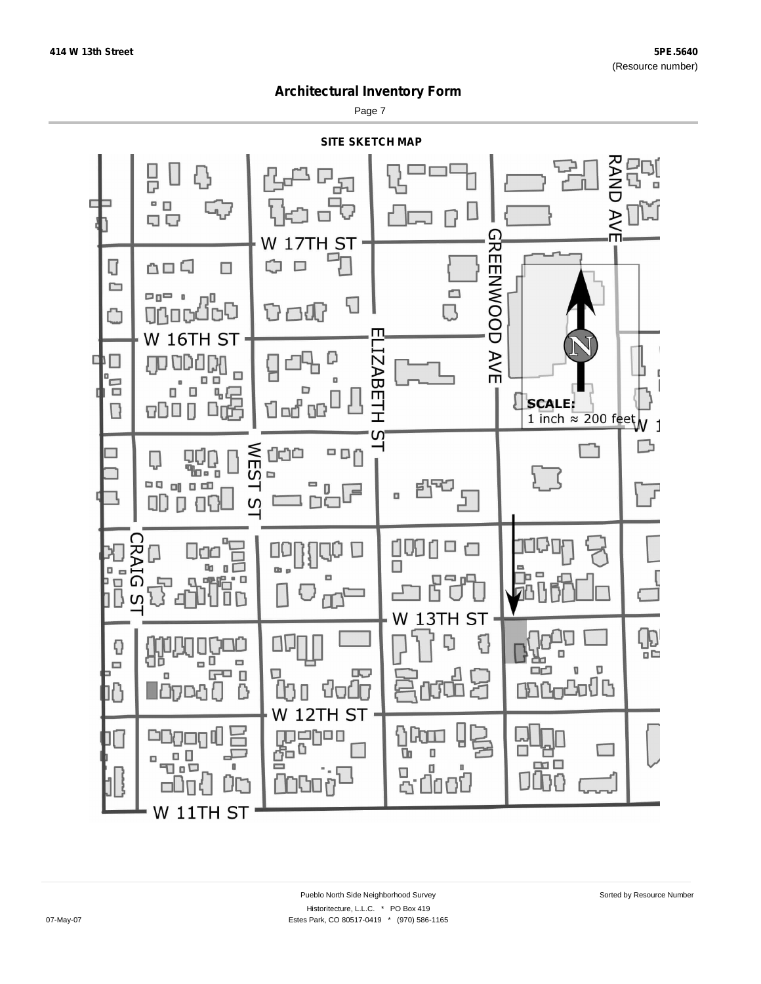Page 7